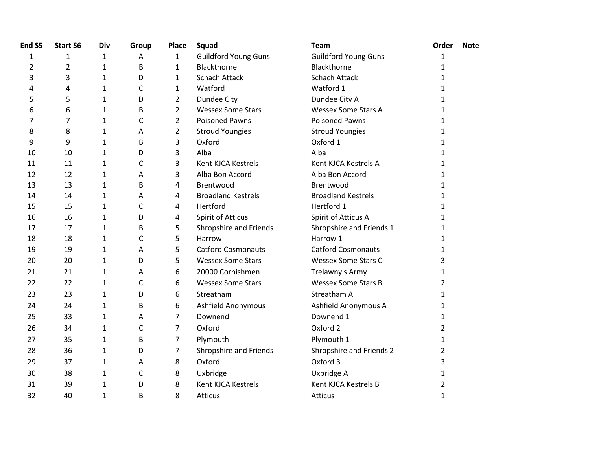| End S5 | <b>Start S6</b> | Div          | Group        | Place          | Squad                       | <b>Team</b>                 | Order          | <b>Note</b> |
|--------|-----------------|--------------|--------------|----------------|-----------------------------|-----------------------------|----------------|-------------|
| 1      | 1               | 1            | Α            | $\mathbf{1}$   | <b>Guildford Young Guns</b> | <b>Guildford Young Guns</b> | 1              |             |
| 2      | $\overline{2}$  | $\mathbf{1}$ | B            | $\mathbf{1}$   | Blackthorne                 | Blackthorne                 | 1              |             |
| 3      | 3               | $\mathbf{1}$ | D            | $\mathbf{1}$   | <b>Schach Attack</b>        | <b>Schach Attack</b>        | 1              |             |
| 4      | 4               | $\mathbf{1}$ | C            | $\mathbf{1}$   | Watford                     | Watford 1                   | 1              |             |
| 5      | 5               | $\mathbf{1}$ | D            | $\overline{2}$ | Dundee City                 | Dundee City A               | 1              |             |
| 6      | 6               | $\mathbf{1}$ | B            | $\overline{2}$ | <b>Wessex Some Stars</b>    | <b>Wessex Some Stars A</b>  | 1              |             |
| 7      | 7               | $\mathbf{1}$ | C            | $\overline{2}$ | <b>Poisoned Pawns</b>       | <b>Poisoned Pawns</b>       | 1              |             |
| 8      | 8               | $\mathbf{1}$ | Α            | $\overline{2}$ | <b>Stroud Youngies</b>      | <b>Stroud Youngies</b>      | 1              |             |
| 9      | 9               | $\mathbf{1}$ | B            | 3              | Oxford                      | Oxford 1                    | 1              |             |
| 10     | 10              | $\mathbf{1}$ | D            | 3              | Alba                        | Alba                        | 1              |             |
| 11     | 11              | 1            | C            | 3              | Kent KJCA Kestrels          | Kent KJCA Kestrels A        | 1              |             |
| 12     | 12              | $\mathbf{1}$ | A            | 3              | Alba Bon Accord             | Alba Bon Accord             | 1              |             |
| 13     | 13              | $\mathbf{1}$ | B            | 4              | Brentwood                   | Brentwood                   | 1              |             |
| 14     | 14              | $\mathbf{1}$ | Α            | 4              | <b>Broadland Kestrels</b>   | <b>Broadland Kestrels</b>   | 1              |             |
| 15     | 15              | $\mathbf{1}$ | $\mathsf{C}$ | 4              | Hertford                    | Hertford 1                  | 1              |             |
| 16     | 16              | $\mathbf{1}$ | D            | 4              | <b>Spirit of Atticus</b>    | Spirit of Atticus A         | 1              |             |
| 17     | 17              | $\mathbf{1}$ | В            | 5              | Shropshire and Friends      | Shropshire and Friends 1    | 1              |             |
| 18     | 18              | $\mathbf{1}$ | C            | 5              | Harrow                      | Harrow 1                    | 1              |             |
| 19     | 19              | $\mathbf{1}$ | Α            | 5              | <b>Catford Cosmonauts</b>   | <b>Catford Cosmonauts</b>   | 1              |             |
| 20     | 20              | $\mathbf{1}$ | D            | 5              | <b>Wessex Some Stars</b>    | <b>Wessex Some Stars C</b>  | 3              |             |
| 21     | 21              | 1            | Α            | 6              | 20000 Cornishmen            | Trelawny's Army             | 1              |             |
| 22     | 22              | $\mathbf{1}$ | $\mathsf{C}$ | 6              | <b>Wessex Some Stars</b>    | <b>Wessex Some Stars B</b>  | 2              |             |
| 23     | 23              | $\mathbf{1}$ | D            | 6              | Streatham                   | Streatham A                 | 1              |             |
| 24     | 24              | $\mathbf{1}$ | B            | 6              | Ashfield Anonymous          | Ashfield Anonymous A        | 1              |             |
| 25     | 33              | 1            | Α            | $\overline{7}$ | Downend                     | Downend 1                   | 1              |             |
| 26     | 34              | $\mathbf{1}$ | C            | 7              | Oxford                      | Oxford 2                    | $\overline{2}$ |             |
| 27     | 35              | $\mathbf{1}$ | B            | 7              | Plymouth                    | Plymouth 1                  | 1              |             |
| 28     | 36              | $\mathbf{1}$ | D            | $\overline{7}$ | Shropshire and Friends      | Shropshire and Friends 2    | 2              |             |
| 29     | 37              | $\mathbf{1}$ | Α            | 8              | Oxford                      | Oxford 3                    | 3              |             |
| 30     | 38              | $\mathbf{1}$ | C            | 8              | Uxbridge                    | Uxbridge A                  | $\mathbf 1$    |             |
| 31     | 39              | 1            | D            | 8              | Kent KJCA Kestrels          | Kent KJCA Kestrels B        | 2              |             |
| 32     | 40              | $\mathbf{1}$ | В            | 8              | Atticus                     | <b>Atticus</b>              | 1              |             |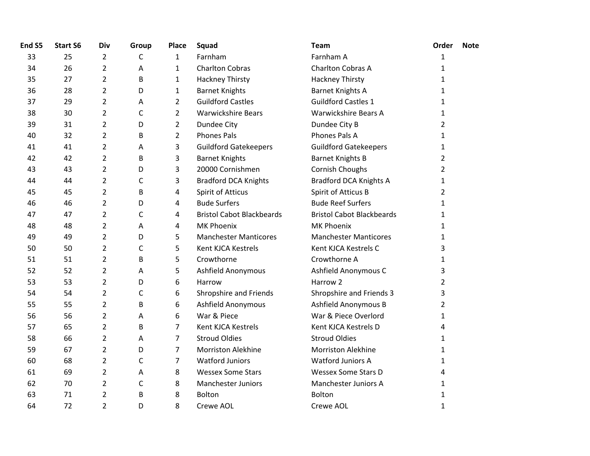| End S5 | <b>Start S6</b> | Div            | Group        | <b>Place</b>   | Squad                            | <b>Team</b>                      | Order          | <b>Note</b> |
|--------|-----------------|----------------|--------------|----------------|----------------------------------|----------------------------------|----------------|-------------|
| 33     | 25              | $\overline{2}$ | C            | $\mathbf{1}$   | Farnham                          | Farnham A                        | $\mathbf{1}$   |             |
| 34     | 26              | $\overline{2}$ | Α            | $\mathbf{1}$   | <b>Charlton Cobras</b>           | Charlton Cobras A                | 1              |             |
| 35     | 27              | $\overline{2}$ | B            | $\mathbf{1}$   | <b>Hackney Thirsty</b>           | <b>Hackney Thirsty</b>           | 1              |             |
| 36     | 28              | $\overline{2}$ | D            | $\mathbf{1}$   | <b>Barnet Knights</b>            | <b>Barnet Knights A</b>          | 1              |             |
| 37     | 29              | $\overline{2}$ | A            | $\overline{2}$ | <b>Guildford Castles</b>         | <b>Guildford Castles 1</b>       | 1              |             |
| 38     | 30              | $\overline{2}$ | C            | $\overline{2}$ | <b>Warwickshire Bears</b>        | <b>Warwickshire Bears A</b>      | 1              |             |
| 39     | 31              | $\overline{2}$ | D            | $\overline{2}$ | Dundee City                      | Dundee City B                    | $\overline{2}$ |             |
| 40     | 32              | $\overline{2}$ | B            | $\overline{2}$ | <b>Phones Pals</b>               | Phones Pals A                    | 1              |             |
| 41     | 41              | $\overline{2}$ | A            | 3              | <b>Guildford Gatekeepers</b>     | <b>Guildford Gatekeepers</b>     | 1              |             |
| 42     | 42              | $\overline{2}$ | B            | 3              | <b>Barnet Knights</b>            | <b>Barnet Knights B</b>          | 2              |             |
| 43     | 43              | $\overline{2}$ | D            | 3              | 20000 Cornishmen                 | Cornish Choughs                  | $\overline{2}$ |             |
| 44     | 44              | $\overline{2}$ | $\mathsf{C}$ | 3              | <b>Bradford DCA Knights</b>      | <b>Bradford DCA Knights A</b>    | 1              |             |
| 45     | 45              | $\overline{2}$ | B            | 4              | Spirit of Atticus                | Spirit of Atticus B              | 2              |             |
| 46     | 46              | $\overline{2}$ | D            | 4              | <b>Bude Surfers</b>              | <b>Bude Reef Surfers</b>         | 1              |             |
| 47     | 47              | $\overline{2}$ | C            | 4              | <b>Bristol Cabot Blackbeards</b> | <b>Bristol Cabot Blackbeards</b> | 1              |             |
| 48     | 48              | $\overline{2}$ | Α            | 4              | MK Phoenix                       | <b>MK Phoenix</b>                | 1              |             |
| 49     | 49              | $\overline{2}$ | D            | 5              | <b>Manchester Manticores</b>     | <b>Manchester Manticores</b>     | 1              |             |
| 50     | 50              | $\overline{2}$ | $\mathsf{C}$ | 5              | Kent KJCA Kestrels               | Kent KJCA Kestrels C             | 3              |             |
| 51     | 51              | $\overline{2}$ | B            | 5              | Crowthorne                       | Crowthorne A                     | 1              |             |
| 52     | 52              | $\overline{2}$ | A            | 5              | Ashfield Anonymous               | Ashfield Anonymous C             | 3              |             |
| 53     | 53              | $\overline{2}$ | D            | 6              | Harrow                           | Harrow 2                         | 2              |             |
| 54     | 54              | $\overline{2}$ | С            | 6              | Shropshire and Friends           | Shropshire and Friends 3         | 3              |             |
| 55     | 55              | $\overline{2}$ | B            | 6              | Ashfield Anonymous               | Ashfield Anonymous B             | 2              |             |
| 56     | 56              | $\overline{2}$ | A            | 6              | War & Piece                      | War & Piece Overlord             | 1              |             |
| 57     | 65              | $\overline{2}$ | B            | 7              | Kent KJCA Kestrels               | Kent KJCA Kestrels D             | 4              |             |
| 58     | 66              | $\overline{2}$ | A            | $\overline{7}$ | <b>Stroud Oldies</b>             | <b>Stroud Oldies</b>             | 1              |             |
| 59     | 67              | $\overline{2}$ | D            | $\overline{7}$ | <b>Morriston Alekhine</b>        | <b>Morriston Alekhine</b>        | 1              |             |
| 60     | 68              | $\overline{2}$ | $\mathsf C$  | $\overline{7}$ | <b>Watford Juniors</b>           | <b>Watford Juniors A</b>         | 1              |             |
| 61     | 69              | $\overline{2}$ | A            | 8              | <b>Wessex Some Stars</b>         | <b>Wessex Some Stars D</b>       | 4              |             |
| 62     | 70              | $\overline{2}$ | C            | 8              | <b>Manchester Juniors</b>        | Manchester Juniors A             | 1              |             |
| 63     | 71              | $\overline{2}$ | B            | 8              | Bolton                           | Bolton                           | 1              |             |
| 64     | 72              | $\overline{2}$ | D            | 8              | Crewe AOL                        | Crewe AOL                        | $\mathbf 1$    |             |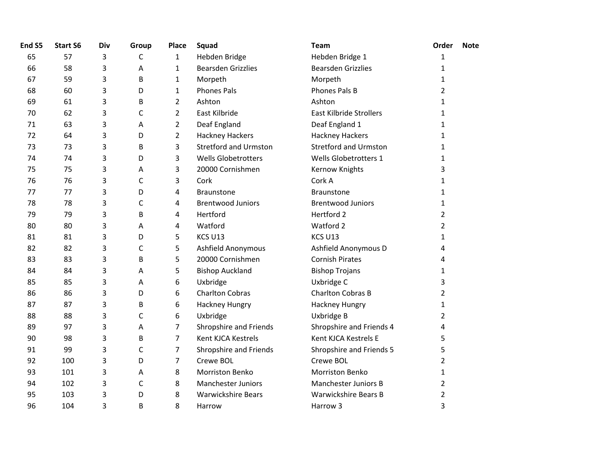| End S5 | <b>Start S6</b> | Div | Group        | Place          | Squad                        | <b>Team</b>                    | Order          | <b>Note</b> |
|--------|-----------------|-----|--------------|----------------|------------------------------|--------------------------------|----------------|-------------|
| 65     | 57              | 3   | $\mathsf{C}$ | $\mathbf{1}$   | Hebden Bridge                | Hebden Bridge 1                | 1              |             |
| 66     | 58              | 3   | Α            | $\mathbf{1}$   | <b>Bearsden Grizzlies</b>    | <b>Bearsden Grizzlies</b>      | 1              |             |
| 67     | 59              | 3   | B            | $\mathbf{1}$   | Morpeth                      | Morpeth                        | 1              |             |
| 68     | 60              | 3   | D            | $\mathbf{1}$   | <b>Phones Pals</b>           | Phones Pals B                  | $\overline{2}$ |             |
| 69     | 61              | 3   | B            | $\overline{2}$ | Ashton                       | Ashton                         | $\mathbf{1}$   |             |
| 70     | 62              | 3   | $\mathsf C$  | $\overline{2}$ | East Kilbride                | <b>East Kilbride Strollers</b> | 1              |             |
| 71     | 63              | 3   | Α            | $\overline{2}$ | Deaf England                 | Deaf England 1                 | 1              |             |
| 72     | 64              | 3   | D            | $\overline{2}$ | <b>Hackney Hackers</b>       | <b>Hackney Hackers</b>         | 1              |             |
| 73     | 73              | 3   | B            | 3              | <b>Stretford and Urmston</b> | <b>Stretford and Urmston</b>   | 1              |             |
| 74     | 74              | 3   | D            | 3              | <b>Wells Globetrotters</b>   | Wells Globetrotters 1          | 1              |             |
| 75     | 75              | 3   | А            | 3              | 20000 Cornishmen             | Kernow Knights                 | 3              |             |
| 76     | 76              | 3   | $\mathsf{C}$ | 3              | Cork                         | Cork A                         | 1              |             |
| 77     | 77              | 3   | D            | 4              | <b>Braunstone</b>            | <b>Braunstone</b>              | 1              |             |
| 78     | 78              | 3   | $\mathsf{C}$ | 4              | <b>Brentwood Juniors</b>     | <b>Brentwood Juniors</b>       | 1              |             |
| 79     | 79              | 3   | B            | 4              | Hertford                     | Hertford 2                     | $\overline{2}$ |             |
| 80     | 80              | 3   | Α            | 4              | Watford                      | Watford 2                      | $\overline{2}$ |             |
| 81     | 81              | 3   | D            | 5              | KCS U13                      | KCS U13                        | 1              |             |
| 82     | 82              | 3   | $\mathsf{C}$ | 5              | Ashfield Anonymous           | Ashfield Anonymous D           | 4              |             |
| 83     | 83              | 3   | B            | 5              | 20000 Cornishmen             | <b>Cornish Pirates</b>         | 4              |             |
| 84     | 84              | 3   | Α            | 5              | <b>Bishop Auckland</b>       | <b>Bishop Trojans</b>          | 1              |             |
| 85     | 85              | 3   | Α            | 6              | Uxbridge                     | Uxbridge C                     | 3              |             |
| 86     | 86              | 3   | D            | 6              | <b>Charlton Cobras</b>       | <b>Charlton Cobras B</b>       | 2              |             |
| 87     | 87              | 3   | B            | 6              | Hackney Hungry               | Hackney Hungry                 | 1              |             |
| 88     | 88              | 3   | $\mathsf{C}$ | 6              | Uxbridge                     | Uxbridge B                     | $\overline{2}$ |             |
| 89     | 97              | 3   | Α            | 7              | Shropshire and Friends       | Shropshire and Friends 4       | 4              |             |
| 90     | 98              | 3   | B            | 7              | Kent KJCA Kestrels           | Kent KJCA Kestrels E           | 5              |             |
| 91     | 99              | 3   | $\mathsf{C}$ | $\overline{7}$ | Shropshire and Friends       | Shropshire and Friends 5       | 5              |             |
| 92     | 100             | 3   | D            | $\overline{7}$ | Crewe BOL                    | Crewe BOL                      | $\overline{2}$ |             |
| 93     | 101             | 3   | A            | 8              | <b>Morriston Benko</b>       | <b>Morriston Benko</b>         | 1              |             |
| 94     | 102             | 3   | $\mathsf C$  | 8              | <b>Manchester Juniors</b>    | <b>Manchester Juniors B</b>    | 2              |             |
| 95     | 103             | 3   | D            | 8              | <b>Warwickshire Bears</b>    | <b>Warwickshire Bears B</b>    | $\overline{2}$ |             |
| 96     | 104             | 3   | B            | 8              | Harrow                       | Harrow 3                       | 3              |             |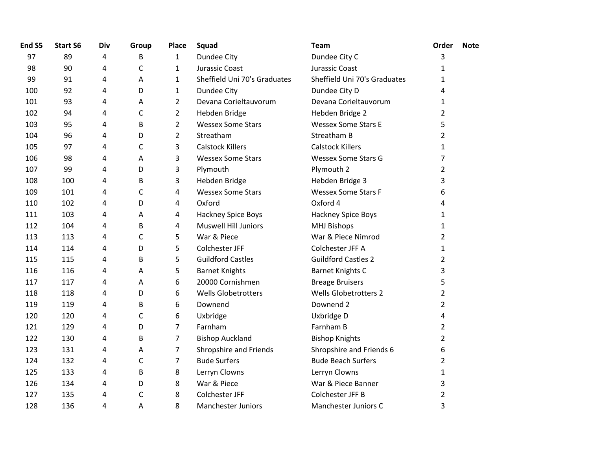| End S5 | <b>Start S6</b> | Div | Group        | <b>Place</b>   | Squad                        | <b>Team</b>                  | Order          | <b>Note</b> |
|--------|-----------------|-----|--------------|----------------|------------------------------|------------------------------|----------------|-------------|
| 97     | 89              | 4   | B            | $\mathbf{1}$   | Dundee City                  | Dundee City C                | 3              |             |
| 98     | 90              | 4   | C            | $\mathbf{1}$   | Jurassic Coast               | Jurassic Coast               | 1              |             |
| 99     | 91              | 4   | Α            | $\mathbf{1}$   | Sheffield Uni 70's Graduates | Sheffield Uni 70's Graduates | $\mathbf{1}$   |             |
| 100    | 92              | 4   | D            | 1              | Dundee City                  | Dundee City D                | 4              |             |
| 101    | 93              | 4   | A            | $\overline{2}$ | Devana Corieltauvorum        | Devana Corieltauvorum        | 1              |             |
| 102    | 94              | 4   | C            | $\overline{2}$ | Hebden Bridge                | Hebden Bridge 2              | 2              |             |
| 103    | 95              | 4   | B            | $\overline{2}$ | <b>Wessex Some Stars</b>     | <b>Wessex Some Stars E</b>   | 5              |             |
| 104    | 96              | 4   | D            | $\overline{2}$ | Streatham                    | Streatham B                  | 2              |             |
| 105    | 97              | 4   | C            | 3              | <b>Calstock Killers</b>      | <b>Calstock Killers</b>      | 1              |             |
| 106    | 98              | 4   | Α            | 3              | <b>Wessex Some Stars</b>     | <b>Wessex Some Stars G</b>   | 7              |             |
| 107    | 99              | 4   | D            | 3              | Plymouth                     | Plymouth 2                   | $\overline{2}$ |             |
| 108    | 100             | 4   | B            | 3              | Hebden Bridge                | Hebden Bridge 3              | 3              |             |
| 109    | 101             | 4   | $\mathsf{C}$ | 4              | <b>Wessex Some Stars</b>     | <b>Wessex Some Stars F</b>   | 6              |             |
| 110    | 102             | 4   | D            | 4              | Oxford                       | Oxford 4                     | 4              |             |
| 111    | 103             | 4   | Α            | 4              | Hackney Spice Boys           | Hackney Spice Boys           | 1              |             |
| 112    | 104             | 4   | B            | 4              | <b>Muswell Hill Juniors</b>  | <b>MHJ Bishops</b>           | 1              |             |
| 113    | 113             | 4   | $\mathsf{C}$ | 5              | War & Piece                  | War & Piece Nimrod           | $\overline{2}$ |             |
| 114    | 114             | 4   | D            | 5              | Colchester JFF               | Colchester JFF A             | 1              |             |
| 115    | 115             | 4   | B            | 5              | <b>Guildford Castles</b>     | <b>Guildford Castles 2</b>   | $\overline{2}$ |             |
| 116    | 116             | 4   | A            | 5              | <b>Barnet Knights</b>        | <b>Barnet Knights C</b>      | 3              |             |
| 117    | 117             | 4   | Α            | 6              | 20000 Cornishmen             | <b>Breage Bruisers</b>       | 5              |             |
| 118    | 118             | 4   | D            | 6              | <b>Wells Globetrotters</b>   | <b>Wells Globetrotters 2</b> | 2              |             |
| 119    | 119             | 4   | B            | 6              | Downend                      | Downend 2                    | $\overline{2}$ |             |
| 120    | 120             | 4   | C            | 6              | Uxbridge                     | Uxbridge D                   | 4              |             |
| 121    | 129             | 4   | D            | $\overline{7}$ | Farnham                      | Farnham B                    | $\overline{2}$ |             |
| 122    | 130             | 4   | B            | $\overline{7}$ | <b>Bishop Auckland</b>       | <b>Bishop Knights</b>        | $\overline{2}$ |             |
| 123    | 131             | 4   | А            | 7              | Shropshire and Friends       | Shropshire and Friends 6     | 6              |             |
| 124    | 132             | 4   | $\mathsf C$  | $\overline{7}$ | <b>Bude Surfers</b>          | <b>Bude Beach Surfers</b>    | $\overline{2}$ |             |
| 125    | 133             | 4   | B            | 8              | Lerryn Clowns                | Lerryn Clowns                | 1              |             |
| 126    | 134             | 4   | D            | 8              | War & Piece                  | War & Piece Banner           | 3              |             |
| 127    | 135             | 4   | C            | 8              | Colchester JFF               | Colchester JFF B             | 2              |             |
| 128    | 136             | 4   | Α            | 8              | Manchester Juniors           | Manchester Juniors C         | 3              |             |